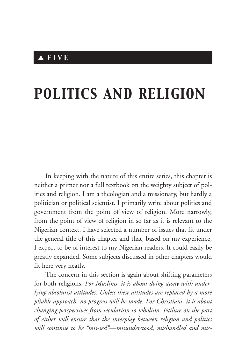# *POLITICS AND RELIGION*

In keeping with the nature of this entire series, this chapter is neither a primer nor a full textbook on the weighty subject of politics and religion. I am a theologian and a missionary, but hardly a politician or political scientist. I primarily write about politics and government from the point of view of religion. More narrowly, from the point of view of religion in so far as it is relevant to the Nigerian context. I have selected a number of issues that fit under the general title of this chapter and that, based on my experience, I expect to be of interest to my Nigerian readers. It could easily be greatly expanded. Some subjects discussed in other chapters would fit here very neatly.

The concern in this section is again about shifting parameters for both religions. *For Muslims, it is about doing away with underlying absolutist attitudes. Unless these attitudes are replaced by a more pliable approach, no progress will be made. For Christians, it is about changing perspectives from secularism to wholism. Failure on the part of either will ensure that the interplay between religion and politics will continue to be "mis-sed"—misunderstood, mishandled and mis-*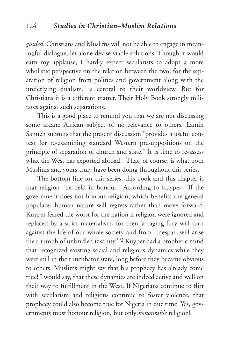*guided.* Christians and Muslims will not be able to engage in meaningful dialogue, let alone devise viable solutions. Though it would earn my applause, I hardly expect secularists to adopt a more wholistic perspective on the relation between the two, for the separation of religion from politics and government along with the underlying dualism, is central to their worldview. But for Christians it is a different matter. Their Holy Book strongly militates against such separations.

This is a good place to remind you that we are not discussing some arcane African subject of no relevance to others. Lamin Sanneh submits that the present discussion "provides a useful context for re-examining standard Western presuppositions on the principle of separation of church and state." It is time to re-assess what the West has exported abroad.<sup>1</sup> That, of course, is what both Muslims and yours truly have been doing throughout this series.

The bottom line for this series, this book and this chapter is that religion "be held in honour." According to Kuyper, "If the government does not honour religion, which benefits the general populace, human nature will regress rather than move forward. Kuyper feared the worst for the nation if religion were ignored and replaced by a strict materialism, for then 'a raging fury will turn against the life of our whole society and from…despair will arise the triumph of unbridled insanity.'"2 Kuyper had a prophetic mind that recognized existing social and religious dynamics while they were still in their incubator state, long before they became obvious to others. Muslims might say that his prophecy has already come true! I would say, that these dynamics are indeed active and well on their way to fulfillment in the West. If Nigerians continue to flirt with secularism and religions continue to foster violence, that prophecy could also become true for Nigeria in due time. Yes, governments must honour religion, but only *honourable* religion!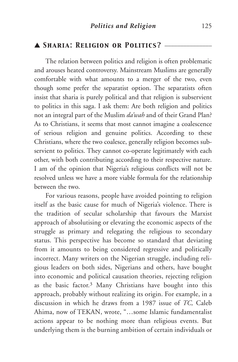## ▲ *Sharia: Religion or Politics?* \_\_\_\_\_\_\_\_\_\_\_\_\_\_\_

The relation between politics and religion is often problematic and arouses heated controversy. Mainstream Muslims are generally comfortable with what amounts to a merger of the two, even though some prefer the separatist option. The separatists often insist that sharia is purely political and that religion is subservient to politics in this saga. I ask them: Are both religion and politics not an integral part of the Muslim *da'wah* and of their Grand Plan? As to Christians, it seems that most cannot imagine a coalescence of serious religion and genuine politics. According to these Christians, where the two coalesce, generally religion becomes subservient to politics. They cannot co-operate legitimately with each other, with both contributing according to their respective nature. I am of the opinion that Nigeria's religious conflicts will not be resolved unless we have a more viable formula for the relationship between the two.

For various reasons, people have avoided pointing to religion itself as the basic cause for much of Nigeria's violence. There is the tradition of secular scholarship that favours the Marxist approach of absolutising or elevating the economic aspects of the struggle as primary and relegating the religious to secondary status. This perspective has become so standard that deviating from it amounts to being considered regressive and politically incorrect. Many writers on the Nigerian struggle, including religious leaders on both sides, Nigerians and others, have bought into economic and political causation theories, rejecting religion as the basic factor.3 Many Christians have bought into this approach, probably without realizing its origin. For example, in a discussion in which he draws from a 1987 issue of *TC,* Caleb Ahima, now of TEKAN, wrote, "…some Islamic fundamentalist actions appear to be nothing more than religious events. But underlying them is the burning ambition of certain individuals or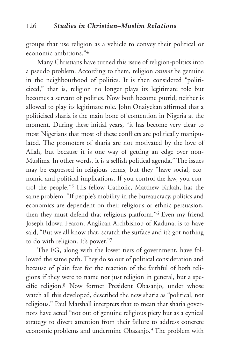groups that use religion as a vehicle to convey their political or economic ambitions."4

Many Christians have turned this issue of religion-politics into a pseudo problem. According to them, religion *cannot* be genuine in the neighbourhood of politics. It is then considered "politicized," that is, religion no longer plays its legitimate role but becomes a servant of politics. Now both become putrid; neither is allowed to play its legitimate role. John Onaiyekan affirmed that a politicised sharia is the main bone of contention in Nigeria at the moment. During these initial years, "it has become very clear to most Nigerians that most of these conflicts are politically manipulated. The promoters of sharia are not motivated by the love of Allah, but because it is one way of getting an edge over non-Muslims. In other words, it is a selfish political agenda." The issues may be expressed in religious terms, but they "have social, economic and political implications. If you control the law, you control the people."5 His fellow Catholic, Matthew Kukah, has the same problem. "If people's mobility in the bureaucracy, politics and economics are dependent on their religious or ethnic persuasion, then they must defend that religious platform."6 Even my friend Joseph Idowu Fearon, Anglican Archbishop of Kaduna, is to have said, "But we all know that, scratch the surface and it's got nothing to do with religion. It's power."7

The FG, along with the lower tiers of government, have followed the same path. They do so out of political consideration and because of plain fear for the reaction of the faithful of both religions if they were to name not just religion in general, but a specific religion.8 Now former President Obasanjo, under whose watch all this developed, described the new sharia as "political, not religious." Paul Marshall interprets that to mean that sharia governors have acted "not out of genuine religious piety but as a cynical strategy to divert attention from their failure to address concrete economic problems and undermine Obasanjo.9 The problem with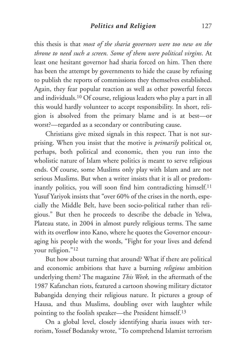this thesis is that *most of the sharia governors were too new on the throne to need such a screen. Some of them were political virgins*. At least one hesitant governor had sharia forced on him. Then there has been the attempt by governments to hide the cause by refusing to publish the reports of commissions they themselves established. Again, they fear popular reaction as well as other powerful forces and individuals.10 Of course, religious leaders who play a part in all this would hardly volunteer to accept responsibility. In short, religion is absolved from the primary blame and is at best—or worst?—regarded as a secondary or contributing cause.

Christians give mixed signals in this respect. That is not surprising. When you insist that the motive is *primarily* political or, perhaps, both political and economic, then you run into the wholistic nature of Islam where politics is meant to serve religious ends. Of course, some Muslims only play with Islam and are not serious Muslims. But when a writer insists that it is all or predominantly politics, you will soon find him contradicting himself.<sup>11</sup> Yusuf Yariyok insists that "over 60% of the crises in the north, especially the Middle Belt, have been socio-political rather than religious." But then he proceeds to describe the debacle in Yelwa, Plateau state, in 2004 in almost purely religious terms. The same with its overflow into Kano, where he quotes the Governor encouraging his people with the words, "Fight for your lives and defend your religion."12

But how about turning that around? What if there are political and economic ambitions that have a burning *religious* ambition underlying them? The magazine *This Week,* in the aftermath of the 1987 Kafanchan riots, featured a cartoon showing military dictator Babangida denying their religious nature. It pictures a group of Hausa, and thus Muslims, doubling over with laughter while pointing to the foolish speaker—the President himself.13

On a global level, closely identifying sharia issues with terrorism, Yossef Bodansky wrote, "To comprehend Islamist terrorism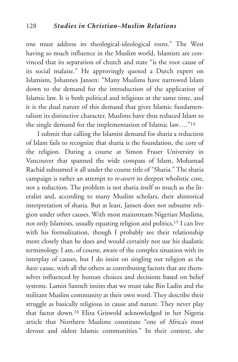one must address its theological-ideological roots." The West having so much influence in the Muslim world, Islamists are convinced that its separation of church and state "is the root cause of its social malaise." He approvingly quoted a Dutch expert on Islamism, Johannes Jansen: "Many Muslims have narrowed Islam down to the demand for the introduction of the application of Islamic law. It is both political and religious at the same time, and it is the dual nature of this demand that gives Islamic fundamentalism its distinctive character. Muslims have thus reduced Islam to the single demand for the implementation of Islamic law…."14

I submit that calling the Islamist demand for sharia a reduction of Islam fails to recognize that sharia is the foundation, the core of the religion. During a course at Simon Fraser University in Vancouver that spanned the wide compass of Islam, Mohamad Rachid subsumed it all under the course title of "Sharia." The sharia campaign is rather an attempt to *re-assert* its deepest wholistic core, not a reduction. The problem is not sharia itself so much as the literalist and, according to many Muslim scholars, their ahistorical interpretation of sharia. But at least, Jansen does not subsume religion under other causes. With most mainstream Nigerian Muslims, not only Islamists, usually equating religion and politics,15 I can live with his formulization, though I probably see their relationship more closely than he does and would certainly not use his dualistic terminology. I am, of course, aware of the complex situation with its interplay of causes, but I do insist on singling out religion as the *basic* cause, with all the others as contributing factors that are themselves influenced by human choices and decisions based on belief systems. Lamin Sanneh insists that we must take Bin Ladin and the militant Muslim community at their own word. They describe their struggle as basically religious in cause and nature. They never play that factor down.16 Eliza Griswold acknowledged in her Nigeria article that Northern Muslims constitute "one of Africa's most devout and oldest Islamic communities." In their context, she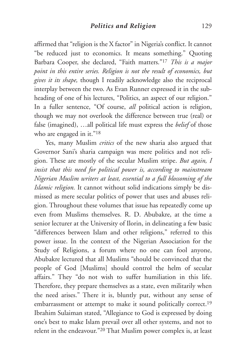affirmed that "religion is the X factor" in Nigeria's conflict. It cannot "be reduced just to economics. It means something." Quoting Barbara Cooper, she declared, "Faith matters."17 *This is a major point in this entire series. Religion is not the result of economics, but gives it its shape,* though I readily acknowledge also the reciprocal interplay between the two. As Evan Runner expressed it in the subheading of one of his lectures, "Politics, an aspect of our religion." In a fuller sentence, "Of course, *all* political action is religion, though we may not overlook the difference between true (real) or false (imagined), …all political life must express the *belief* of those who are engaged in it."<sup>18</sup>

Yes, many Muslim *critics* of the new sharia also argued that Governor Sani's sharia campaign was mere politics and not religion. These are mostly of the secular Muslim stripe. *But again, I insist that this need for political power is, according to mainstream Nigerian Muslim writers at least, essential to a full blossoming of the Islamic religion.* It cannot without solid indications simply be dismissed as mere secular politics of power that uses and abuses religion. Throughout these volumes that issue has repeatedly come up even from Muslims themselves. R. D. Abubakre, at the time a senior lecturer at the University of Ilorin, in delineating a few basic "differences between Islam and other religions," referred to this power issue. In the context of the Nigerian Association for the Study of Religions, a forum where no one can fool anyone, Abubakre lectured that all Muslims "should be convinced that the people of God [Muslims] should control the helm of secular affairs." They "do not wish to suffer humiliation in this life. Therefore, they prepare themselves as a state, even militarily when the need arises." There it is, bluntly put, without any sense of embarrassment or attempt to make it sound politically correct.<sup>19</sup> Ibrahim Sulaiman stated, "Allegiance to God is expressed by doing one's best to make Islam prevail over all other systems, and not to relent in the endeavour."20 That Muslim power complex is, at least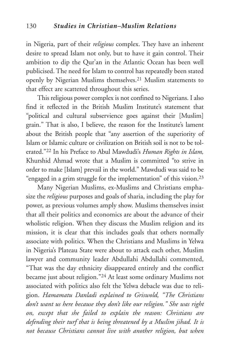in Nigeria, part of their *religious* complex. They have an inherent desire to spread Islam not only, but to have it gain control. Their ambition to dip the Qur'an in the Atlantic Ocean has been well publicised. The need for Islam to control has repeatedly been stated openly by Nigerian Muslims themselves.21 Muslim statements to that effect are scattered throughout this series.

This religious power complex is not confined to Nigerians. I also find it reflected in the British Muslim Institute's statement that "political and cultural subservience goes against their [Muslim] grain." That is also, I believe, the reason for the Institute's lament about the British people that "any assertion of the superiority of Islam or Islamic culture or civilization on British soil is not to be tolerated."22 In his Preface to Abul Mawdudi's *Human Rights in Islam,* Khurshid Ahmad wrote that a Muslim is committed "to strive in order to make [Islam] prevail in the world." Mawdudi was said to be "engaged in a grim struggle for the implementation" of this vision. 23

Many Nigerian Muslims, ex-Muslims and Christians emphasize the *religious* purposes and goals of sharia, including the play for power, as previous volumes amply show. Muslims themselves insist that all their politics and economics are about the advance of their wholistic religion. When they discuss the Muslim religion and its mission, it is clear that this includes goals that others normally associate with politics. When the Christians and Muslims in Yelwa in Nigeria's Plateau State were about to attack each other, Muslim lawyer and community leader Abdullahi Abdullahi commented, "That was the day ethnicity disappeared entirely and the conflict became just about religion."24 At least some ordinary Muslims not associated with politics also felt the Yelwa debacle was due to religion. *Hamamatu Danladi explained to Griswold, "The Christians don't want us here because they don't like our religion." She was right on, except that she failed to explain the reason: Christians are defending their turf that is being threatened by a Muslim jihad. It is not because Christians cannot live with another religion, but when*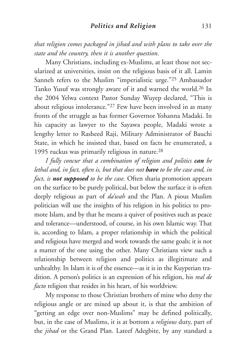*that religion comes packaged in jihad and with plans to take over the state and the country, then it is another question.*

Many Christians, including ex-Muslims, at least those not secularized at universities, insist on the religious basis of it all. Lamin Sanneh refers to the Muslim "imperialistic urge."25 Ambassador Tanko Yusuf was strongly aware of it and warned the world.26 In the 2004 Yelwa context Pastor Sunday Wuyep declared, "This is about religious intolerance."27 Few have been involved in as many fronts of the struggle as has former Governor Yohanna Madaki. In his capacity as lawyer to the Sayawa people, Madaki wrote a lengthy letter to Rasheed Raji, Military Administrator of Bauchi State, in which he insisted that, based on facts he enumerated, a 1995 ruckus was primarily religious in nature.28

*I fully concur that a combination of religion and politics can be lethal and, in fact, often is, but that does not have to be the case and, in fact, is not supposed to be the case.* Often sharia promotion appears on the surface to be purely political, but below the surface it is often deeply religious as part of *da'wah* and the Plan. A pious Muslim politician will use the insights of his religion in his politics to promote Islam, and by that he means a quiver of positives such as peace and tolerance—understood, of course, in his own Islamic way. That is, according to Islam, a proper relationship in which the political and religious have merged and work towards the same goals; it is not a matter of the one using the other. Many Christians view such a relationship between religion and politics as illegitimate and unhealthy. In Islam it is of the essence—as it is in the Kuyperian tradition. A person's politics is an expression of his religion, his *real de facto* religion that resides in his heart, of his worldview.

My response to those Christian brothers of mine who deny the religious angle or are mixed up about it, is that the ambition of "getting an edge over non-Muslims" may be defined politically, but, in the case of Muslims, it is at bottom a *religious* duty, part of the *jihad* or the Grand Plan. Lateef Adegbite, by any standard a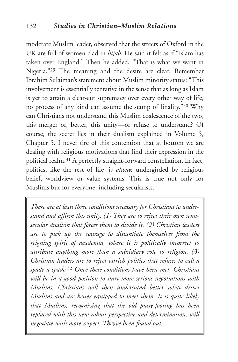moderate Muslim leader, observed that the streets of Oxford in the UK are full of women clad in *hijab.* He said it felt as if "Islam has taken over England." Then he added, "That is what we want in Nigeria."29 The meaning and the desire are clear. Remember Ibrahim Sulaiman's statement about Muslim minority status: "This involvement is essentially tentative in the sense that as long as Islam is yet to attain a clear-cut supremacy over every other way of life, no process of any kind can assume the stamp of finality."30 Why can Christians not understand this Muslim coalescence of the two, this merger or, better, this unity—or refuse to understand? Of course, the secret lies in their dualism explained in Volume 5, Chapter 5. I never tire of this contention that at bottom we are dealing with religious motivations that find their expression in the political realm.31 A perfectly straight-forward constellation. In fact, politics, like the rest of life, is *always* undergirded by religious belief, worldview or value systems. This is true not only for Muslims but for everyone, including secularists.

*There are at least three conditions necessary for Christians to understand and affirm this unity. (1) They are to reject their own semisecular dualism that forces them to divide it. (2) Christian leaders are to pick up the courage to distantiate themselves from the reigning spirit of academia, where it is politically incorrect to attribute anything more than a subsidiary role to religion. (3) Christian leaders are to reject ostrich politics that refuses to call a spade a spade.*<sup>32</sup> *Once these conditions have been met, Christians will be in a good position to start more serious negotiations with Muslims. Christians will then understand better what drives Muslims and are better equipped to meet them. It is quite likely that Muslims, recognizing that the old pussy-footing has been replaced with this new robust perspective and determination, will negotiate with more respect. They've been found out.*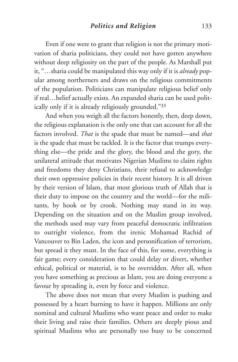Even if one were to grant that religion is not the primary motivation of sharia politicians, they could not have gotten anywhere without deep religiosity on the part of the people. As Marshall put it, "…sharia could be manipulated this way only if it is *already* popular among northerners and draws on the religious commitments of the population. Politicians can manipulate religious belief only if real…belief actually exists. An expanded sharia can be used politically only if it is already religiously grounded."33

And when you weigh all the factors honestly, then, deep down, the religious explanation is the only one that can account for all the factors involved. *That* is the spade that must be named—and *that* is the spade that must be tackled. It is the factor that trumps everything else—the pride and the glory, the blood and the gory, the unilateral attitude that motivates Nigerian Muslims to claim rights and freedoms they deny Christians, their refusal to acknowledge their own oppressive policies in their recent history. It is all driven by their version of Islam, that most glorious truth of Allah that is their duty to impose on the country and the world—for the militants, by hook or by crook. Nothing may stand in its way. Depending on the situation and on the Muslim group involved, the methods used may vary from peaceful democratic infiltration to outright violence, from the irenic Mohamad Rachid of Vancouver to Bin Laden, the icon and personification of terrorism, but spread it they must. In the face of this, for some, everything is fair game; every consideration that could delay or divert, whether ethical, political or material, is to be overridden. After all, when you have something as precious as Islam, you are doing everyone a favour by spreading it, even by force and violence.

The above does not mean that every Muslim is pushing and possessed by a heart burning to have it happen. Millions are only nominal and cultural Muslims who want peace and order to make their living and raise their families. Others are deeply pious and spiritual Muslims who are personally too busy to be concerned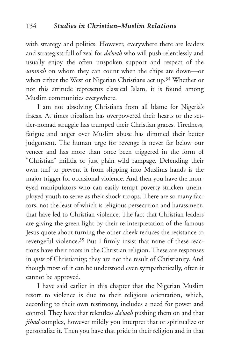with strategy and politics. However, everywhere there are leaders and strategists full of zeal for *da'wah* who will push relentlessly and usually enjoy the often unspoken support and respect of the *ummah* on whom they can count when the chips are down—or when either the West or Nigerian Christians act up.34 Whether or not this attitude represents classical Islam, it is found among Muslim communities everywhere.

I am not absolving Christians from all blame for Nigeria's fracas. At times tribalism has overpowered their hearts or the settler-nomad struggle has trumped their Christian graces. Tiredness, fatigue and anger over Muslim abuse has dimmed their better judgement. The human urge for revenge is never far below our veneer and has more than once been triggered in the form of "Christian" militia or just plain wild rampage. Defending their own turf to prevent it from slipping into Muslims hands is the major trigger for occasional violence. And then you have the moneyed manipulators who can easily tempt poverty-stricken unemployed youth to serve as their shock troops. There are so many factors, not the least of which is religious persecution and harassment, that have led to Christian violence. The fact that Christian leaders are giving the green light by their re-interpretation of the famous Jesus quote about turning the other cheek reduces the resistance to revengeful violence.35 But I firmly insist that none of these reactions have their roots in the Christian religion. These are responses in *spite* of Christianity; they are not the result of Christianity. And though most of it can be understood even sympathetically, often it cannot be approved.

I have said earlier in this chapter that the Nigerian Muslim resort to violence is due to their religious orientation, which, according to their own testimony, includes a need for power and control. They have that relentless *da'wah* pushing them on and that *jihad* complex, however mildly you interpret that or spiritualize or personalize it. Then you have that pride in their religion and in that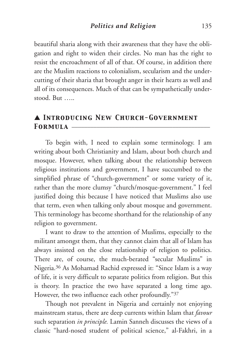beautiful sharia along with their awareness that they have the obligation and right to widen their circles. No man has the right to resist the encroachment of all of that. Of course, in addition there are the Muslim reactions to colonialism, secularism and the undercutting of their sharia that brought anger in their hearts as well and all of its consequences. Much of that can be sympathetically understood. But …..

## ▲ *Introducing New Church-Government Formula* \_\_\_\_\_\_\_\_\_\_\_\_\_\_\_\_\_\_\_\_\_\_\_\_\_\_\_\_\_\_\_\_\_\_\_\_\_\_\_\_\_\_\_\_

To begin with, I need to explain some terminology. I am writing about both Christianity and Islam, about both church and mosque. However, when talking about the relationship between religious institutions and government, I have succumbed to the simplified phrase of "church-government" or some variety of it, rather than the more clumsy "church/mosque-government." I feel justified doing this because I have noticed that Muslims also use that term, even when talking only about mosque and government. This terminology has become shorthand for the relationship of any religion to government.

I want to draw to the attention of Muslims, especially to the militant amongst them, that they cannot claim that all of Islam has always insisted on the close relationship of religion to politics. There are, of course, the much-berated "secular Muslims" in Nigeria.36 As Mohamad Rachid expressed it: "Since Islam is a way of life, it is very difficult to separate politics from religion. But this is theory. In practice the two have separated a long time ago. However, the two influence each other profoundly."37

Though not prevalent in Nigeria and certainly not enjoying mainstream status, there are deep currents within Islam that *favour* such separation *in principle.* Lamin Sanneh discusses the views of a classic "hard-nosed student of political science," al-Fakhri, in a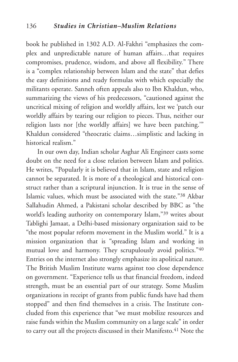book he published in 1302 A.D. Al-Fakhri "emphasizes the complex and unpredictable nature of human affairs…that requires compromises, prudence, wisdom, and above all flexibility." There is a "complex relationship between Islam and the state" that defies the easy definitions and ready formulas with which especially the militants operate. Sanneh often appeals also to Ibn Khaldun, who, summarizing the views of his predecessors, "cautioned against the uncritical mixing of religion and worldly affairs, lest we 'patch our worldly affairs by tearing our religion to pieces. Thus, neither our religion lasts nor [the worldly affairs] we have been patching.'" Khaldun considered "theocratic claims…simplistic and lacking in historical realism."

In our own day, Indian scholar Asghar Ali Engineer casts some doubt on the need for a close relation between Islam and politics. He writes, "Popularly it is believed that in Islam, state and religion cannot be separated. It is more of a theological and historical construct rather than a scriptural injunction. It is true in the sense of Islamic values, which must be associated with the state."38 Akbar Sallahudin Ahmed, a Pakistani scholar described by BBC as "the world's leading authority on contemporary Islam,"39 writes about Tablighi Jamaat, a Delhi-based missionary organization said to be "the most popular reform movement in the Muslim world." It is a mission organization that is "spreading Islam and working in mutual love and harmony. They scrupulously avoid politics."40 Entries on the internet also strongly emphasize its apolitical nature. The British Muslim Institute warns against too close dependence on government. "Experience tells us that financial freedom, indeed strength, must be an essential part of our strategy. Some Muslim organizations in receipt of grants from public funds have had them stopped" and then find themselves in a crisis. The Institute concluded from this experience that "we must mobilize resources and raise funds within the Muslim community on a large scale" in order to carry out all the projects discussed in their Manifesto.<sup>41</sup> Note the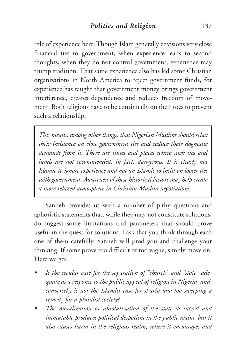role of experience here. Though Islam generally envisions very close financial ties to government, when experience leads to second thoughts, when they do not control government, experience may trump tradition. That same experience also has led some Christian organizations in North America to reject government funds, for experience has taught that government money brings government interference, creates dependence and reduces freedom of movement. Both religions have to be continually on their toes to prevent such a relationship.

*This means, among other things, that Nigerian Muslims should relax their insistence on close government ties and reduce their dogmatic demands from it. There are times and places where such ties and funds are not recommended, in fact, dangerous. It is clearly not Islamic to ignore experience and not un-Islamic to insist on looser ties with government. Awareness of these historical factors may help create a more relaxed atmosphere in Christian-Muslim negotiations.*

Sanneh provides us with a number of pithy questions and aphoristic statements that, while they may not constitute solutions, do suggest some limitations and parameters that should prove useful in the quest for solutions. I ask that you think through each one of them carefully. Sanneh will prod you and challenge your thinking. If some prove too difficult or too vague, simply move on. Here we go:

- *• Is the secular case for the separation of "church" and "state" adequate as a response to the public appeal of religion in Nigeria, and, conversely, is not the Islamist case for sharia law too sweeping a remedy for a pluralist society?*
- *• The moralization or absolutization of the state as sacred and immutable produces political despotism in the public realm, but it also causes harm in the religious realm, where it encourages and*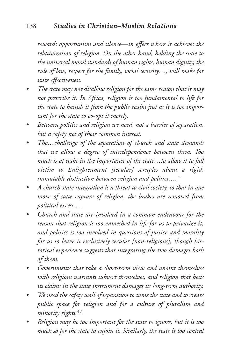#### 138 *Studies in Christian–Muslim Relations*

*rewards opportunism and silence—in effect where it achieves the relativization of religion. On the other hand, holding the state to the universal moral standards of human rights, human dignity, the rule of law, respect for the family, social security…, will make for state effectiveness.*

- *• The state may not disallow religion for the same reason that it may not prescribe it: In Africa, religion is too fundamental to life for the state to banish it from the public realm just as it is too important for the state to co-opt it merely.*
- *• Between politics and religion we need, not a barrier of separation, but a safety net of their common interest.*
- *• The…challenge of the separation of church and state demands that we allow a degree of interdependence between them. Too much is at stake in the importance of the state…to allow it to fall victim to Enlightenment [secular] scruples about a rigid, immutable distinction between religion and politics…."*
- *• A church-state integration is a threat to civil society, so that in one move of state capture of religion, the brakes are removed from political excess….*
- *• Church and state are involved in a common endeavour for the reason that religion is too enmeshed in life for us to privatize it, and politics is too involved in questions of justice and morality for us to leave it exclusively secular [non-religious], though historical experience suggests that integrating the two damages both of them.*
- *• Governments that take a short-term view and anoint themselves with religious warrants subvert themselves, and religion that bests its claims in the state instrument damages its long-term authority.*
- *• We need the safety wall of separation to tame the state and to create public space for religion and for a culture of pluralism and minority rights.*<sup>42</sup>
- *• Religion may be too important for the state to ignore, but it is too much so for the state to enjoin it. Similarly, the state is too central*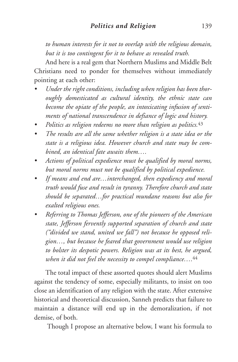*to human interests for it not to overlap with the religious domain, but it is too contingent for it to behave as revealed truth.*

And here is a real gem that Northern Muslims and Middle Belt Christians need to ponder for themselves without immediately pointing at each other:

- *• Under the right conditions, including when religion has been thoroughly domesticated as cultural identity, the ethnic state can become the opiate of the people, an intoxicating infusion of sentiments of national transcendence in defiance of logic and history.*
- *• Politics as religion redeems no more than religion as politics.*<sup>43</sup>
- *• The results are all the same whether religion is a state idea or the state is a religious idea. However church and state may be combined, an identical fate awaits them….*
- *• Actions of political expedience must be qualified by moral norms, but moral norms must not be qualified by political expedience.*
- *• If means and end are…interchanged, then expediency and moral truth would fuse and result in tyranny. Therefore church and state should be separated…for practical mundane reasons but also for exalted religious ones.*
- *• Referring to Thomas Jefferson, one of the pioneers of the American state, Jefferson fervently supported separation of church and state ("divided we stand, united we fall") not because he opposed religion…, but because he feared that government would use religion to bolster its despotic powers. Religion was at its best, he argued, when it did not feel the necessity to compel compliance….*<sup>44</sup>

The total impact of these assorted quotes should alert Muslims against the tendency of some, especially militants, to insist on too close an identification of any religion with the state. After extensive historical and theoretical discussion, Sanneh predicts that failure to maintain a distance will end up in the demoralization, if not demise, of both.

Though I propose an alternative below, I want his formula to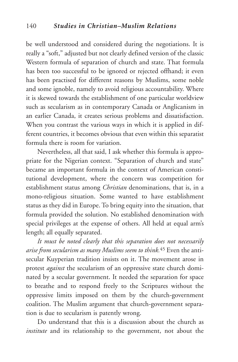be well understood and considered during the negotiations. It is really a "soft," adjusted but not clearly defined version of the classic Western formula of separation of church and state. That formula has been too successful to be ignored or rejected offhand; it even has been practised for different reasons by Muslims, some noble and some ignoble, namely to avoid religious accountability. Where it is skewed towards the establishment of one particular worldview such as secularism as in contemporary Canada or Anglicanism in an earlier Canada, it creates serious problems and dissatisfaction. When you contrast the various ways in which it is applied in different countries, it becomes obvious that even within this separatist formula there is room for variation.

Nevertheless, all that said, I ask whether this formula is appropriate for the Nigerian context. "Separation of church and state" became an important formula in the context of American constitutional development, where the concern was competition for establishment status among *Christian* denominations, that is, in a mono-religious situation. Some wanted to have establishment status as they did in Europe. To bring equity into the situation, that formula provided the solution. No established denomination with special privileges at the expense of others. All held at equal arm's length; all equally separated.

*It must be noted clearly that this separation does not necessarily arise from secularism as many Muslims seem to think.*<sup>45</sup> Even the antisecular Kuyperian tradition insists on it. The movement arose in protest *against* the secularism of an oppressive state church dominated by a secular government. It needed the separation for space to breathe and to respond freely to the Scriptures without the oppressive limits imposed on them by the church-government coalition. The Muslim argument that church-government separation is due to secularism is patently wrong.

Do understand that this is a discussion about the church as *institute* and its relationship to the government, not about the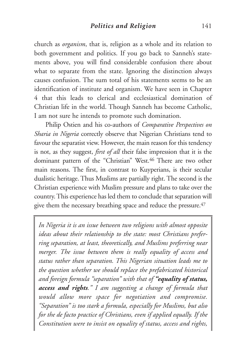church as *organism*, that is, religion as a whole and its relation to both government and politics. If you go back to Sanneh's statements above, you will find considerable confusion there about what to separate from the state. Ignoring the distinction always causes confusion. The sum total of his statements seems to be an identification of institute and organism. We have seen in Chapter 4 that this leads to clerical and ecclesiastical domination of Christian life in the world. Though Sanneh has become Catholic, I am not sure he intends to promote such domination.

Philip Ostien and his co-authors of *Comparative Perspectives on Sharia in Nigeria* correctly observe that Nigerian Christians tend to favour the separatist view. However, the main reason for this tendency is not, as they suggest, *first of all* their false impression that it is the dominant pattern of the "Christian" West. <sup>46</sup> There are two other main reasons. The first, in contrast to Kuyperians, is their secular dualistic heritage. Thus Muslims are partially right. The second is the Christian experience with Muslim pressure and plans to take over the country. This experience has led them to conclude that separation will give them the necessary breathing space and reduce the pressure.<sup>47</sup>

*In Nigeria it is an issue between two religions with almost opposite ideas about their relationship to the state: most Christians preferring separation, at least, theoretically, and Muslims preferring near merger. The issue between them is really equality of access and status rather than separation. This Nigerian situation leads me to the question whether we should replace the prefabricated historical and foreign formula "separation" with that of "equality of status, access and rights." I am suggesting a change of formula that would allow more space for negotiation and compromise. "Separation" is too stark a formula, especially for Muslims, but also for the de facto practice of Christians, even if applied equally. If the Constitution were to insist on equality of status, access and rights,*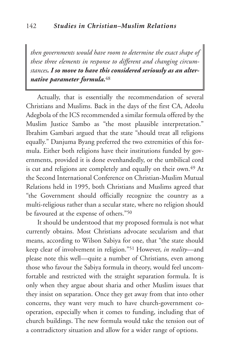*then governments would have room to determine the exact shape of these three elements in response to different and changing circumstances. I so move to have this considered seriously as an alternative parameter formula.*48

Actually, that is essentially the recommendation of several Christians and Muslims. Back in the days of the first CA, Adeolu Adegbola of the ICS recommended a similar formula offered by the Muslim Justice Sambo as "the most plausible interpretation." Ibrahim Gambari argued that the state "should treat all religions equally." Danjuma Byang preferred the two extremities of this formula. Either both religions have their institutions funded by governments, provided it is done evenhandedly, or the umbilical cord is cut and religions are completely and equally on their own.<sup>49</sup> At the Second International Conference on Christian-Muslim Mutual Relations held in 1995, both Christians and Muslims agreed that "the Government should officially recognize the country as a multi-religious rather than a secular state, where no religion should be favoured at the expense of others."50

It should be understood that my proposed formula is not what currently obtains. Most Christians advocate secularism and that means, according to Wilson Sabiya for one, that "the state should keep clear of involvement in religion."51 However, *in reality*—and please note this well—quite a number of Christians, even among those who favour the Sabiya formula in theory, would feel uncomfortable and restricted with the straight separation formula. It is only when they argue about sharia and other Muslim issues that they insist on separation. Once they get away from that into other concerns, they want very much to have church-government cooperation, especially when it comes to funding, including that of church buildings. The new formula would take the tension out of a contradictory situation and allow for a wider range of options.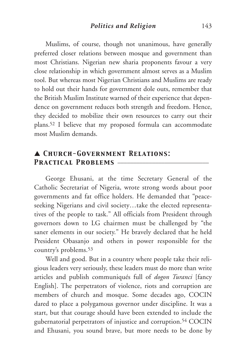Muslims, of course, though not unanimous, have generally preferred closer relations between mosque and government than most Christians. Nigerian new sharia proponents favour a very close relationship in which government almost serves as a Muslim tool. But whereas most Nigerian Christians and Muslims are ready to hold out their hands for government dole outs, remember that the British Muslim Institute warned of their experience that dependence on government reduces both strength and freedom. Hence, they decided to mobilize their own resources to carry out their plans.52 I believe that my proposed formula can accommodate most Muslim demands.

## ▲ *Church-Government Relations: Practical Problems* \_\_\_\_\_\_\_\_\_\_\_\_\_\_\_\_\_\_\_\_\_\_\_\_\_\_\_\_\_

George Ehusani, at the time Secretary General of the Catholic Secretariat of Nigeria, wrote strong words about poor governments and fat office holders. He demanded that "peaceseeking Nigerians and civil society…take the elected representatives of the people to task." All officials from President through governors down to LG chairmen must be challenged by "the saner elements in our society." He bravely declared that he held President Obasanjo and others in power responsible for the country's problems.53

Well and good. But in a country where people take their religious leaders very seriously, these leaders must do more than write articles and publish communiqués full of *dogon Turanci* [fancy English]. The perpetrators of violence, riots and corruption are members of church and mosque. Some decades ago, COCIN dared to place a polygamous governor under discipline. It was a start, but that courage should have been extended to include the gubernatorial perpetrators of injustice and corruption.54 COCIN and Ehusani, you sound brave, but more needs to be done by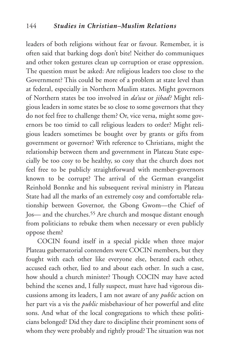leaders of both religions without fear or favour. Remember, it is often said that barking dogs don't bite! Neither do communiques and other token gestures clean up corruption or erase oppression. The question must be asked: Are religious leaders too close to the Government? This could be more of a problem at state level than at federal, especially in Northern Muslim states. Might governors of Northern states be too involved in *da'wa* or *jihad?* Might religious leaders in some states be so close to some governors that they do not feel free to challenge them? Or, vice versa, might some governors be too timid to call religious leaders to order? Might religious leaders sometimes be bought over by grants or gifts from government or governor? With reference to Christians, might the relationship between them and government in Plateau State especially be too cosy to be healthy, so cosy that the church does not feel free to be publicly straightforward with member-governors known to be corrupt? The arrival of the German evangelist Reinhold Bonnke and his subsequent revival ministry in Plateau State had all the marks of an extremely cosy and comfortable relationship between Governor, the Gbong Gwom—the Chief of Jos— and the churches.55 Are church and mosque distant enough from politicians to rebuke them when necessary or even publicly oppose them?

COCIN found itself in a special pickle when three major Plateau gubernatorial contenders were COCIN members, but they fought with each other like everyone else, berated each other, accused each other, lied to and about each other*.* In such a case, how should a church minister? Though COCIN may have acted behind the scenes and, I fully suspect, must have had vigorous discussions among its leaders, I am not aware of any *public* action on her part vis a vis the *public* misbehaviour of her powerful and elite sons. And what of the local congregations to which these politicians belonged? Did they dare to discipline their prominent sons of whom they were probably and rightly proud? The situation was not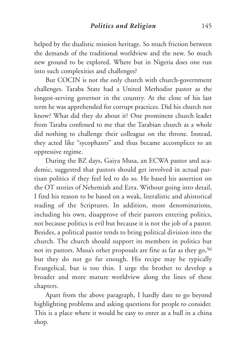helped by the dualistic mission heritage. So much friction between the demands of the traditional worldview and the new. So much new ground to be explored. Where but in Nigeria does one run into such complexities and challenges?

But COCIN is not the only church with church-government challenges. Taraba State had a United Methodist pastor as the longest-serving governor in the country. At the close of his last term he was apprehended for corrupt practices. Did his church not know? What did they do about it? One prominent church leader from Taraba confessed to me that the Tarabian church as a whole did nothing to challenge their colleague on the throne. Instead, they acted like "sycophants" and thus became accomplices to an oppressive regime.

During the BZ days, Gaiya Musa, an ECWA pastor and academic, suggested that pastors should get involved in actual partisan politics if they feel led to do so. He based his assertion on the OT stories of Nehemiah and Ezra. Without going into detail, I find his reason to be based on a weak, literalistic and ahistorical reading of the Scriptures. In addition, most denominations, including his own, disapprove of their pastors entering politics, not because politics is evil but because it is not the job of a pastor. Besides, a political pastor tends to bring political division into the church. The church should support its members in politics but not its pastors. Musa's other proposals are fine as far as they go, 56 but they do not go far enough. His recipe may be typically Evangelical, but is too thin. I urge the brother to develop a broader and more mature worldview along the lines of these chapters.

Apart from the above paragraph, I hardly dare to go beyond highlighting problems and asking questions for people to consider. This is a place where it would be easy to enter as a bull in a china shop*.*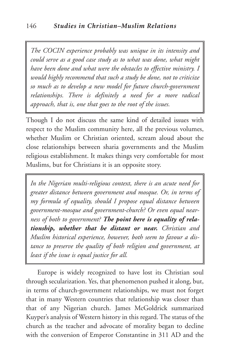*The COCIN experience probably was unique in its intensity and could serve as a good case study as to what was done, what might have been done and what were the obstacles to effective ministry. I would highly recommend that such a study be done, not to criticize so much as to develop a new model for future church-government relationships. There is definitely a need for a more radical approach, that is, one that goes to the root of the issues.*

Though I do not discuss the same kind of detailed issues with respect to the Muslim community here, all the previous volumes, whether Muslim or Christian oriented, scream aloud about the close relationships between sharia governments and the Muslim religious establishment. It makes things very comfortable for most Muslims, but for Christians it is an opposite story.

*In the Nigerian multi-religious context, there is an acute need for greater distance between government and mosque. Or, in terms of my formula of equality, should I propose equal distance between government-mosque and government-church? Or even equal nearness of both to government? The point here is equality of relationship, whether that be distant or near. Christian and Muslim historical experience, however, both seem to favour a distance to preserve the quality of both religion and government, at least if the issue is equal justice for all.*

Europe is widely recognized to have lost its Christian soul through secularization. Yes, that phenomenon pushed it along, but, in terms of church-government relationships, we must not forget that in many Western countries that relationship was closer than that of any Nigerian church. James McGoldrick summarized Kuyper's analysis of Western history in this regard. The status of the church as the teacher and advocate of morality began to decline with the conversion of Emperor Constantine in 311 AD and the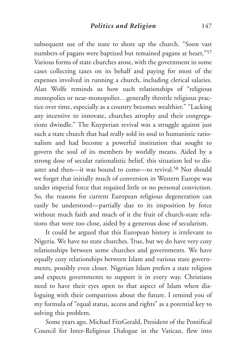subsequent use of the state to shore up the church. "Soon vast numbers of pagans were baptized but remained pagans at heart."57 Various forms of state churches arose, with the government in some cases collecting taxes on its behalf and paying for most of the expenses involved in running a church, including clerical salaries. Alan Wolfe reminds us how such relationships of "religious monopolies or near-monopolies…generally throttle religious practice over time, especially as a country becomes wealthier." "Lacking any incentive to innovate, churches atrophy and their congregations dwindle." The Kuyperian revival was a struggle against just such a state church that had really sold its soul to humanistic rationalism and had become a powerful institution that sought to govern the soul of its members by worldly means. Aided by a strong dose of secular rationalistic belief, this situation led to disaster and then—it was bound to come—to revival.58 Nor should we forget that initially much of conversion in Western Europe was under imperial force that required little or no personal conviction. So, the reasons for current European religious degeneration can easily be understood—partially due to its imposition by force without much faith and much of it the fruit of church-state relations that were too close, aided by a generous dose of secularism.

It could be argued that this European history is irrelevant to Nigeria. We have no state churches. True, but we do have very cozy relationships between some churches and governments. We have equally cozy relationships between Islam and various state governments, possibly even closer. Nigerian Islam prefers a state religion and expects governments to support it in every way. Christians need to have their eyes open to that aspect of Islam when dialoguing with their compatriots about the future. I remind you of my formula of "equal status, access and rights" as a potential key to solving this problem.

Some years ago, Michael FitzGerald, President of the Pontifical Council for Inter-Religious Dialogue in the Vatican, flew into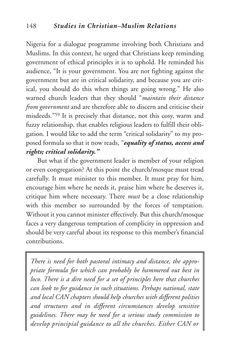Nigeria for a dialogue programme involving both Christians and Muslims. In this context, he urged that Christians keep reminding government of ethical principles it is to uphold. He reminded his audience, "It is your government. You are not fighting against the government but are in critical solidarity, and because you are critical, you should do this when things are going wrong." He also warned church leaders that they should "*maintain their distance from government* and are therefore able to discern and criticise their misdeeds."59 It is precisely that distance, not this cosy, warm and fuzzy relationship, that enables religious leaders to fulfill their obligation. I would like to add the term "critical solidarity" to my proposed formula so that it now reads, "*equality of status, access and rights; critical solidarity."*

But what if the government leader is member of your religion or even congregation? At this point the church/mosque must tread carefully. It must minister to this member. It must pray for him, encourage him where he needs it, praise him where he deserves it, critique him where necessary. There *must* be a close relationship with this member so surrounded by the forces of temptation. Without it you cannot minister effectively. But this church/mosque faces a very dangerous temptation of complicity in oppression and should be very careful about its response to this member's financial contributions.

*There is need for both pastoral intimacy and distance, the appropriate formula for which can probably be hammered out best in loco. There is a dire need for a set of principles here that churches can look to for guidance in such situations. Perhaps national, state and local CAN chapters should help churches with different polities and structures and in different circumstances develop sensitive guidelines. There may be need for a serious study commission to develop principial guidance to all the churches. Either CAN or*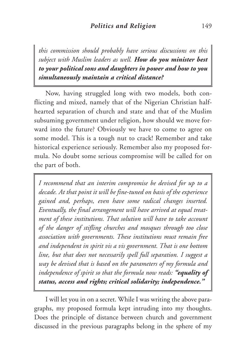*this commission should probably have serious discussions on this subject with Muslim leaders as well. How do you minister best to your political sons and daughters in power and how to you simultaneously maintain a critical distance?*

Now, having struggled long with two models, both conflicting and mixed, namely that of the Nigerian Christian halfhearted separation of church and state and that of the Muslim subsuming government under religion, how should we move forward into the future? Obviously we have to come to agree on some model. This is a tough nut to crack! Remember and take historical experience seriously. Remember also my proposed formula. No doubt some serious compromise will be called for on the part of both.

*I recommend that an interim compromise be devised for up to a decade. At that point it will be fine-tuned on basis of the experience gained and, perhaps, even have some radical changes inserted. Eventually, the final arrangement will have arrived at equal treatment of these institutions. That solution will have to take account of the danger of stifling churches and mosques through too close association with governments. These institutions must remain free and independent in spirit vis a vis government. That is one bottom line, but that does not necessarily spell full separation. I suggest a way be devised that is based on the parameters of my formula and independence of spirit so that the formula now reads: "equality of status, access and rights; critical solidarity; independence."*

I will let you in on a secret. While I was writing the above paragraphs, my proposed formula kept intruding into my thoughts. Does the principle of distance between church and government discussed in the previous paragraphs belong in the sphere of my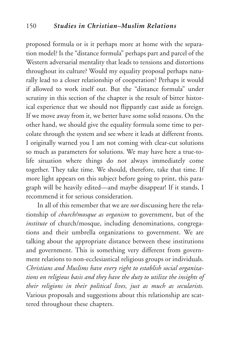proposed formula or is it perhaps more at home with the separation model? Is the "distance formula" perhaps part and parcel of the Western adversarial mentality that leads to tensions and distortions throughout its culture? Would my equality proposal perhaps naturally lead to a closer relationship of cooperation? Perhaps it would if allowed to work itself out. But the "distance formula" under scrutiny in this section of the chapter is the result of bitter historical experience that we should not flippantly cast aside as foreign. If we move away from it, we better have some solid reasons. On the other hand, we should give the equality formula some time to percolate through the system and see where it leads at different fronts. I originally warned you I am not coming with clear-cut solutions so much as parameters for solutions. We may have here a true-tolife situation where things do not always immediately come together. They take time. We should, therefore, take that time. If more light appears on this subject before going to print, this paragraph will be heavily edited—and maybe disappear! If it stands, I recommend it for serious consideration.

In all of this remember that we are *not* discussing here the relationship of *church/mosque as organism* to government, but of the *institute* of church/mosque, including denominations, congregations and their umbrella organizations to government. We are talking about the appropriate distance between these institutions and government. This is something very different from government relations to non-ecclesiastical religious groups or individuals. *Christians and Muslims have every right to establish social organizations on religious basis and they have the duty to utilize the insights of their religions in their political lives, just as much as secularists.* Various proposals and suggestions about this relationship are scattered throughout these chapters.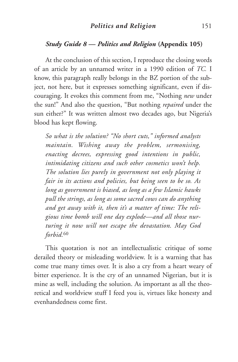#### *Politics and Religion* 151

#### *Study Guide 8 — Politics and Religion* **(Appendix 105)**

At the conclusion of this section, I reproduce the closing words of an article by an unnamed writer in a 1990 edition of *TC.* I know, this paragraph really belongs in the BZ portion of the subject, not here, but it expresses something significant, even if discouraging. It evokes this comment from me, "Nothing *new* under the sun!" And also the question, "But nothing *repaired* under the sun either?" It was written almost two decades ago, but Nigeria's blood has kept flowing.

*So what is the solution? "No short cuts," informed analysts maintain. Wishing away the problem, sermonising, enacting decrees, expressing good intentions in public, intimidating citizens and such other cosmetics won't help. The solution lies purely in government not only playing it fair in its actions and policies, but being seen to be so. As long as government is biased, as long as a few Islamic hawks pull the strings, as long as some sacred cows can do anything and get away with it, then it's a matter of time: The religious time bomb will one day explode—and all those nurturing it now will not escape the devastation. May God forbid.*<sup>60</sup>

This quotation is not an intellectualistic critique of some derailed theory or misleading worldview. It is a warning that has come true many times over. It is also a cry from a heart weary of bitter experience. It is the cry of an unnamed Nigerian, but it is mine as well, including the solution. As important as all the theoretical and worldview stuff I feed you is, virtues like honesty and evenhandedness come first.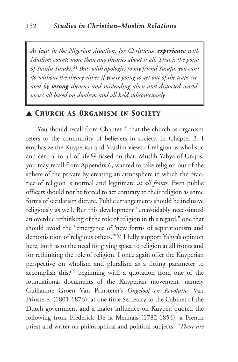*At least in the Nigerian situation, for Christians, experience with Muslims counts more than any theories about it all. That is the point of YusufuTuraki.*<sup>61</sup> *But, with apologies to my friend Yusufu, you can't do without the theory either if you're going to get out of the traps created by wrong theories and misleading alien and distorted worldviews all based on dualism and all held subconsciously.*

▲ *Church as Organism in Society* \_\_\_\_\_\_\_\_\_\_\_\_

You should recall from Chapter 4 that the church as organism refers to the community of believers in society. In Chapter 3, I emphasize the Kuyperian and Muslim views of religion as wholistic and central to all of life.62 Based on that, Muslih Yahya of Unijos, you may recall from Appendix 6, wanted to take religion out of the sphere of the private by creating an atmosphere in which the practice of religion is normal and legitimate *at all fronts*. Even public officers should not be forced to act contrary to their religion as some forms of secularism dictate. Public arrangements should be inclusive religiously as well. But this development "unavoidably necessitated an overdue rethinking of the role of religion in this regard," one that should avoid the "emergence of 'new forms of separationism and demonisation of religious others.'"63 I fully support Yahya's opinion here, both as to the need for giving space to religion at all fronts and for rethinking the role of religion. I once again offer the Kuyperian perspective on wholism and pluralism as a fitting parameter to accomplish this,<sup>64</sup> beginning with a quotation from one of the foundational documents of the Kuyperian movement, namely Guillaume Groen Van Prinsterer's *Ongeloof en Revolutie.* Van Prinsterer (1801-1876), at one time Secretary to the Cabinet of the Dutch government and a major influence on Kuyper, quoted the following from Frederick De la Mennais (1782-1854), a French priest and writer on philosophical and political subjects: *"There are*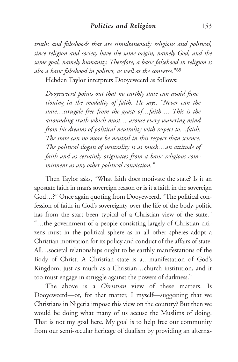*truths and falsehoods that are simultaneously religious and political, since religion and society have the same origin, namely God, and the same goal, namely humanity. Therefore, a basic falsehood in religion is also a basic falsehood in politics, as well as the converse*."65

Hebden Taylor interprets Dooyeweerd as follows:

*Dooyeweerd points out that no earthly state can avoid functioning in the modality of faith. He says, "Never can the state…struggle free from the grasp of…faith…. This is the astounding truth which must… arouse every wavering mind from his dreams of political neutrality with respect to…faith. The state can no more be neutral in this respect than science. The political slogan of neutrality is as much…an attitude of faith and as certainly originates from a basic religious commitment as any other political conviction."*

Then Taylor asks, "What faith does motivate the state? Is it an apostate faith in man's sovereign reason or is it a faith in the sovereign God…?" Once again quoting from Dooyeweerd, "The political confession of faith in God's sovereignty over the life of the body-politic has from the start been typical of a Christian view of the state." "…the government of a people consisting largely of Christian citizens must in the political sphere as in all other spheres adopt a Christian motivation for its policy and conduct of the affairs of state. All…societal relationships ought to be earthly manifestations of the Body of Christ. A Christian state is a…manifestation of God's Kingdom, just as much as a Christian…church institution, and it too must engage in struggle against the powers of darkness."

The above is a *Christian* view of these matters. Is Dooyeweerd—or, for that matter, I myself—suggesting that we Christians in Nigeria impose this view on the country? But then we would be doing what many of us accuse the Muslims of doing. That is not my goal here. My goal is to help free our community from our semi-secular heritage of dualism by providing an alterna-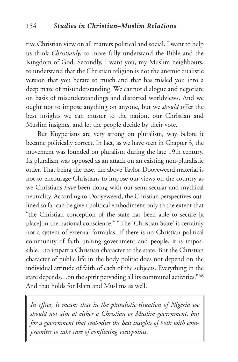tive Christian view on all matters political and social. I want to help us think *Christianly*, to more fully understand the Bible and the Kingdom of God. Secondly, I want you, my Muslim neighbours, to understand that the Christian religion is not the anemic dualistic version that you berate so much and that has misled you into a deep maze of misunderstanding. We cannot dialogue and negotiate on basis of misunderstandings and distorted worldviews. And we ought not to impose anything on anyone, but we *should* offer the best insights we can muster to the nation, our Christian and Muslim insights, and let the people decide by their vote.

But Kuyperians are very strong on pluralism, way before it became politically correct. In fact, as we have seen in Chapter 3, the movement was founded on pluralism during the late 19th century. Its pluralism was opposed as an attack on an existing non-pluralistic order. That being the case, the above Taylor-Dooyeweerd material is not to encourage Christians to impose our views on the country as we Christians *have* been doing with our semi-secular and mythical neutrality. According to Dooyeweerd, the Christian perspectives outlined so far can be given political embodiment only to the extent that "the Christian conception of the state has been able to secure [a place] in the national conscience." "The 'Christian State' is certainly not a system of external formulas. If there is no Christian political community of faith uniting government and people, it is impossible…to impart a Christian character to the state. But the Christian character of public life in the body politic does not depend on the individual attitude of faith of each of the subjects. Everything in the state depends…on the spirit pervading all its communal activities."66 And that holds for Islam and Muslims as well.

*In effect, it means that in the pluralistic situation of Nigeria we should not aim at either a Christian or Muslim government, but for a government that embodies the best insights of both with compromises to take care of conflicting viewpoints*.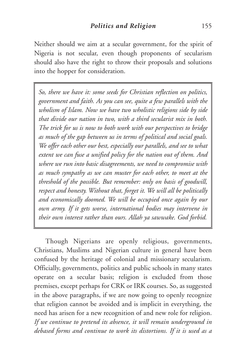Neither should we aim at a secular government, for the spirit of Nigeria is not secular, even though proponents of secularism should also have the right to throw their proposals and solutions into the hopper for consideration.

*So, there we have it: some seeds for Christian reflection on politics, government and faith. As you can see, quite a few parallels with the wholism of Islam. Now we have two wholistic religions side by side that divide our nation in two, with a third secularist mix in both. The trick for us is now to both work with our perspectives to bridge as much of the gap between us in terms of political and social goals. We offer each other our best, especially our parallels, and see to what extent we can fuse a unified policy for the nation out of them. And where we run into basic disagreements, we need to compromise with as much sympathy as we can muster for each other, to meet at the threshold of the possible. But remember: only on basis of goodwill, respect and honesty. Without that, forget it. We will all be politically and economically doomed. We will be occupied once again by our own army. If it gets worse, international bodies may intervene in their own interest rather than ours. Allah ya sawwake. God forbid.*

Though Nigerians are openly religious, governments, Christians, Muslims and Nigerian culture in general have been confused by the heritage of colonial and missionary secularism. Officially, governments, politics and public schools in many states operate on a secular basis; religion is excluded from those premises, except perhaps for CRK or IRK courses. So, as suggested in the above paragraphs, if we are now going to openly recognize that religion cannot be avoided and is implicit in everything, the need has arisen for a new recognition of and new role for religion. *If we continue to pretend its absence, it will remain underground in debased forms and continue to work its distortions. If it is used as a*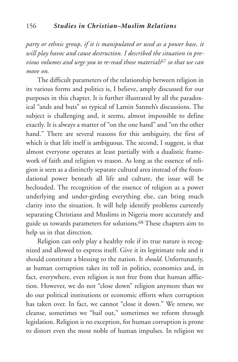*party or ethnic group, if it is manipulated or used as a power base, it will play havoc and cause destruction. I described the situation in previous volumes and urge you to re-read those materials*<sup>67</sup> *so that we can move on.*

The difficult parameters of the relationship between religion in its various forms and politics is, I believe, amply discussed for our purposes in this chapter. It is further illustrated by all the paradoxical "ands and buts" so typical of Lamin Sanneh's discussions. The subject is challenging and, it seems, almost impossible to define exactly. It is always a matter of "on the one hand" and "on the other hand." There are several reasons for this ambiguity, the first of which is that life itself is ambiguous. The second, I suggest, is that almost everyone operates at least partially with a dualistic framework of faith and religion vs reason. As long as the essence of religion is seen as a distinctly separate cultural area instead of the foundational power beneath all life and culture, the issue will be beclouded. The recognition of the essence of religion as a power underlying and under-girding everything else, can bring much clarity into the situation. It will help identify problems currently separating Christians and Muslims in Nigeria more accurately and guide us towards parameters for solutions.68 These chapters aim to help us in that direction.

Religion can only play a healthy role if its true nature is recognized and allowed to express itself. Give it its legitimate role and it should constitute a blessing to the nation. It *should*. Unfortunately, as human corruption takes its toll in politics, economics and, in fact, everywhere, even religion is not free from that human affliction. However, we do not "close down" religion anymore than we do our political institutions or economic efforts when corruption has taken over. In fact, we cannot "close it down." We renew, we cleanse, sometimes we "bail out," sometimes we reform through legislation. Religion is no exception, for human corruption is prone to distort even the most noble of human impulses. In religion we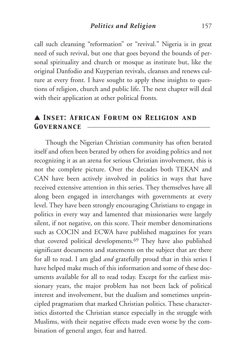call such cleansing "reformation" or "revival." Nigeria is in great need of such revival, but one that goes beyond the bounds of personal spirituality and church or mosque as institute but, like the original Danfodio and Kuyperian revivals, cleanses and renews culture at every front. I have sought to apply these insights to questions of religion, church and public life. The next chapter will deal with their application at other political fronts.

## ▲ *Inset: African Forum on Religion and* GOVERNANCE

Though the Nigerian Christian community has often berated itself and often been berated by others for avoiding politics and not recognizing it as an arena for serious Christian involvement, this is not the complete picture. Over the decades both TEKAN and CAN have been actively involved in politics in ways that have received extensive attention in this series. They themselves have all along been engaged in interchanges with governments at every level. They have been strongly encouraging Christians to engage in politics in every way and lamented that missionaries were largely silent, if not negative, on this score. Their member denominations such as COCIN and ECWA have published magazines for years that covered political developments.69 They have also published significant documents and statements on the subject that are there for all to read. I am glad *and* gratefully proud that in this series I have helped make much of this information and some of these documents available for all to read today. Except for the earliest missionary years, the major problem has not been lack of political interest and involvement, but the dualism and sometimes unprincipled pragmatism that marked Christian politics. These characteristics distorted the Christian stance especially in the struggle with Muslims, with their negative effects made even worse by the combination of general anger, fear and hatred.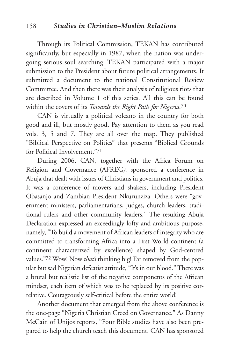Through its Political Commission, TEKAN has contributed significantly, but especially in 1987, when the nation was undergoing serious soul searching. TEKAN participated with a major submission to the President about future political arrangements. It submitted a document to the national Constitutional Review Committee. And then there was their analysis of religious riots that are described in Volume 1 of this series. All this can be found within the covers of its *Towards the Right Path for Nigeria.*<sup>70</sup>

CAN is virtually a political volcano in the country for both good and ill, but mostly good. Pay attention to them as you read vols. 3, 5 and 7. They are all over the map. They published "Biblical Perspective on Politics" that presents "Biblical Grounds for Political Involvement."71

During 2006, CAN, together with the Africa Forum on Religion and Governance (AFREG*),* sponsored a conference in Abuja that dealt with issues of Christians in government and politics. It was a conference of movers and shakers, including President Obasanjo and Zambian President Nkurunziza. Others were "government ministers, parliamentarians, judges, church leaders, traditional rulers and other community leaders." The resulting Abuja Declaration expressed an exceedingly lofty and ambitious purpose, namely, "To build a movement of African leaders of integrity who are committed to transforming Africa into a First World continent (a continent characterized by excellence) shaped by God-centred values."72 Wow! Now *that's* thinking big! Far removed from the popular but sad Nigerian defeatist attitude, "It's in our blood."There was a brutal but realistic list of the negative components of the African mindset, each item of which was to be replaced by its positive correlative. Courageously self-critical before the entire world!

Another document that emerged from the above conference is the one-page "Nigeria Christian Creed on Governance." As Danny McCain of Unijos reports, "Four Bible studies have also been prepared to help the church teach this document. CAN has sponsored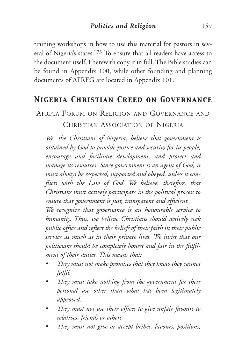training workshops in how to use this material for pastors in several of Nigeria's states."73 To ensure that all readers have access to the document itself, I herewith copy it in full. The Bible studies can be found in Appendix 100, while other founding and planning documents of AFREG are located in Appendix 101.

## *Nigeria Christian Creed on Governance*

# AFRICA FORUM ON RELIGION AND GOVERNANCE AND CHRISTIAN ASSOCIATION OF NIGERIA

*We, the Christians of Nigeria, believe that government is ordained by God to provide justice and security for its people, encourage and facilitate development, and protect and manage its resources. Since government is an agent of God, it must always be respected, supported and obeyed, unless it conflicts with the Law of God. We believe, therefore, that Christians must actively participate in the political process to ensure that government is just, transparent and efficient.*

*We recognize that governance is an honourable service to humanity. Thus, we believe Christians should actively seek public office and reflect the beliefs of their faith in their public service as much as in their private lives. We insist that our politicians should be completely honest and fair in the fulfilment of their duties. This means that:*

- *• They must not make promises that they know they cannot fulfil.*
- *• They must take nothing from the government for their personal use other than what has been legitimately approved.*
- *• They must not use their offices to give unfair favours to relatives, friends or others.*
- *• They must not give or accept bribes, favours, positions,*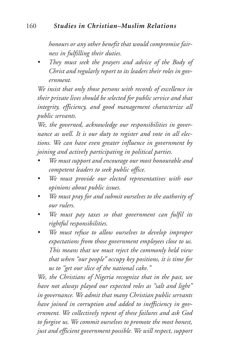#### 160 *Studies in Christian–Muslim Relations*

*honours or any other benefit that would compromise fairness in fulfilling their duties.*

*• They must seek the prayers and advice of the Body of Christ and regularly report to its leaders their roles in government.*

*We insist that only those persons with records of excellence in their private lives should be selected for public service and that integrity, efficiency, and good management characterize all public servants.*

*We, the governed, acknowledge our responsibilities in governance as well. It is our duty to register and vote in all elections. We can have even greater influence in government by joining and actively participating in political parties.*

- *• We must support and encourage our most honourable and competent leaders to seek public office.*
- *• We must provide our elected representatives with our opinions about public issues.*
- *• We must pray for and submit ourselves to the authority of our rulers.*
- *• We must pay taxes so that government can fulfil its rightful responsibilities.*
- *• We must refuse to allow ourselves to develop improper expectations from those government employees close to us. This means that we must reject the commonly held view that when "our people" occupy key positions, it is time for us to "get our slice of the national cake."*

*We, the Christians of Nigeria recognize that in the past, we have not always played our expected roles as "salt and light" in governance. We admit that many Christian public servants have joined in corruption and added to inefficiency in government. We collectively repent of these failures and ask God to forgive us. We commit ourselves to promote the most honest, just and efficient government possible. We will respect, support*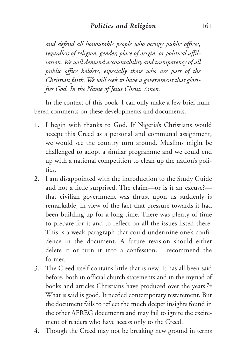*and defend all honourable people who occupy public offices, regardless of religion, gender, place of origin, or political affiliation. We will demand accountability and transparency of all public office holders, especially those who are part of the Christian faith. We will seek to have a government that glorifies God. In the Name of Jesus Christ. Amen.*

In the context of this book, I can only make a few brief numbered comments on these developments and documents.

- 1. I begin with thanks to God. If Nigeria's Christians would accept this Creed as a personal and communal assignment, we would see the country turn around. Muslims might be challenged to adopt a similar programme and we could end up with a national competition to clean up the nation's politics.
- 2. I am disappointed with the introduction to the Study Guide and not a little surprised. The claim—or is it an excuse? that civilian government was thrust upon us suddenly is remarkable, in view of the fact that pressure towards it had been building up for a long time. There was plenty of time to prepare for it and to reflect on all the issues listed there. This is a weak paragraph that could undermine one's confidence in the document. A future revision should either delete it or turn it into a confession. I recommend the former.
- 3. The Creed itself contains little that is new. It has all been said before, both in official church statements and in the myriad of books and articles Christians have produced over the years.74 What is said is good. It needed contemporary restatement. But the document fails to reflect the much deeper insights found in the other AFREG documents and may fail to ignite the excitement of readers who have access only to the Creed.
- 4. Though the Creed may not be breaking new ground in terms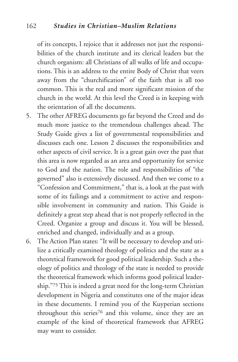of its concepts, I rejoice that it addresses not just the responsibilities of the church institute and its clerical leaders but the church organism: all Christians of all walks of life and occupations. This is an address to the entire Body of Christ that veers away from the "churchification" of the faith that is all too common. This is the real and more significant mission of the church in the world. At this level the Creed is in keeping with the orientation of all the documents.

- 5. The other AFREG documents go far beyond the Creed and do much more justice to the tremendous challenges ahead. The Study Guide gives a list of governmental responsibilities and discusses each one. Lesson 2 discusses the responsibilities and other aspects of civil service. It is a great gain over the past that this area is now regarded as an area and opportunity for service to God and the nation. The role and responsibilities of "the governed" also is extensively discussed. And then we come to a "Confession and Commitment," that is, a look at the past with some of its failings and a commitment to active and responsible involvement in community and nation. This Guide is definitely a great step ahead that is not properly reflected in the Creed. Organize a group and discuss it. You will be blessed, enriched and changed, individually and as a group.
- 6. The Action Plan states: "It will be necessary to develop and utilize a critically examined theology of politics and the state as a theoretical framework for good political leadership. Such a theology of politics and theology of the state is needed to provide the theoretical framework which informs good political leadership."75 This is indeed a great need for the long-term Christian development in Nigeria and constitutes one of the major ideas in these documents. I remind you of the Kuyperian sections throughout this series<sup>76</sup> and this volume, since they are an example of the kind of theoretical framework that AFREG may want to consider.